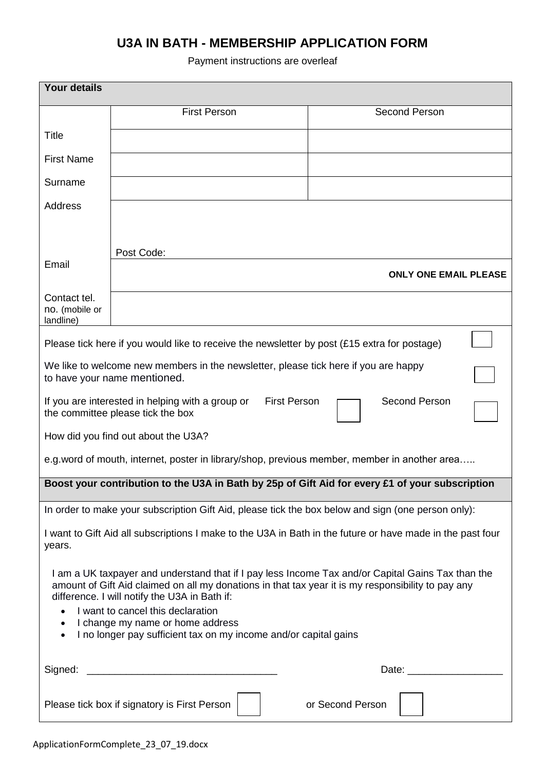# **U3A IN BATH - MEMBERSHIP APPLICATION FORM**

## Payment instructions are overleaf

| <b>Your details</b>                                                                                                                                                                                                                                                                                                                                                                                                |                                                                                                    |                      |  |  |
|--------------------------------------------------------------------------------------------------------------------------------------------------------------------------------------------------------------------------------------------------------------------------------------------------------------------------------------------------------------------------------------------------------------------|----------------------------------------------------------------------------------------------------|----------------------|--|--|
|                                                                                                                                                                                                                                                                                                                                                                                                                    | <b>First Person</b>                                                                                | <b>Second Person</b> |  |  |
| <b>Title</b>                                                                                                                                                                                                                                                                                                                                                                                                       |                                                                                                    |                      |  |  |
| <b>First Name</b>                                                                                                                                                                                                                                                                                                                                                                                                  |                                                                                                    |                      |  |  |
| Surname                                                                                                                                                                                                                                                                                                                                                                                                            |                                                                                                    |                      |  |  |
| <b>Address</b>                                                                                                                                                                                                                                                                                                                                                                                                     |                                                                                                    |                      |  |  |
|                                                                                                                                                                                                                                                                                                                                                                                                                    |                                                                                                    |                      |  |  |
|                                                                                                                                                                                                                                                                                                                                                                                                                    | Post Code:                                                                                         |                      |  |  |
| Email                                                                                                                                                                                                                                                                                                                                                                                                              | <b>ONLY ONE EMAIL PLEASE</b>                                                                       |                      |  |  |
| Contact tel.<br>no. (mobile or<br>landline)                                                                                                                                                                                                                                                                                                                                                                        |                                                                                                    |                      |  |  |
| Please tick here if you would like to receive the newsletter by post $(E15)$ extra for postage)                                                                                                                                                                                                                                                                                                                    |                                                                                                    |                      |  |  |
| We like to welcome new members in the newsletter, please tick here if you are happy<br>to have your name mentioned.                                                                                                                                                                                                                                                                                                |                                                                                                    |                      |  |  |
| <b>First Person</b><br>Second Person<br>If you are interested in helping with a group or<br>the committee please tick the box                                                                                                                                                                                                                                                                                      |                                                                                                    |                      |  |  |
| How did you find out about the U3A?                                                                                                                                                                                                                                                                                                                                                                                |                                                                                                    |                      |  |  |
|                                                                                                                                                                                                                                                                                                                                                                                                                    | e.g. word of mouth, internet, poster in library/shop, previous member, member in another area      |                      |  |  |
| Boost your contribution to the U3A in Bath by 25p of Gift Aid for every £1 of your subscription                                                                                                                                                                                                                                                                                                                    |                                                                                                    |                      |  |  |
|                                                                                                                                                                                                                                                                                                                                                                                                                    | In order to make your subscription Gift Aid, please tick the box below and sign (one person only): |                      |  |  |
| I want to Gift Aid all subscriptions I make to the U3A in Bath in the future or have made in the past four<br>years.                                                                                                                                                                                                                                                                                               |                                                                                                    |                      |  |  |
| I am a UK taxpayer and understand that if I pay less Income Tax and/or Capital Gains Tax than the<br>amount of Gift Aid claimed on all my donations in that tax year it is my responsibility to pay any<br>difference. I will notify the U3A in Bath if:<br>I want to cancel this declaration<br>I change my name or home address<br>$\bullet$<br>I no longer pay sufficient tax on my income and/or capital gains |                                                                                                    |                      |  |  |
| Signed:                                                                                                                                                                                                                                                                                                                                                                                                            |                                                                                                    |                      |  |  |
| Please tick box if signatory is First Person<br>or Second Person                                                                                                                                                                                                                                                                                                                                                   |                                                                                                    |                      |  |  |